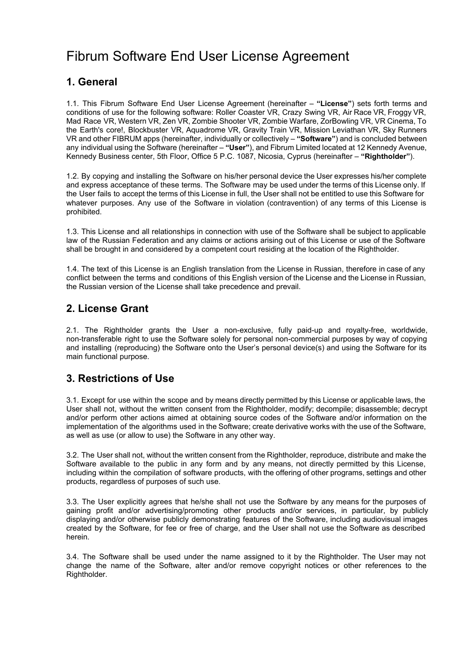# Fibrum Software End User License Agreement

## **1. General**

1.1. This Fibrum Software End User License Agreement (hereinafter – "License") sets forth terms and conditions of use for the following software: Roller Coaster VR, Crazy Swing VR, Air Race VR, Froggy VR, Mad Race VR, Western VR, Zen VR, Zombie Shooter VR, Zombie Warfare, ZorBowling VR, VR Cinema, To the Earth's core!, Blockbuster VR, Aquadrome VR, Gravity Train VR, Mission Leviathan VR, Sky Runners VR and other FIBRUM apps (hereinafter, individually or collectively – **"Software"**) and is concluded between any individual using the Software (hereinafter – **"User"**), and Fibrum Limited located at 12 Kennedy Avenue, Kennedy Business center, 5th Floor, Office 5 P.C. 1087, Nicosia, Cyprus (hereinafter – **"Rightholder"**).

1.2. By copying and installing the Software on his/her personal device the User expresses his/her complete and express acceptance of these terms. The Software may be used under the terms of this License only. If the User fails to accept the terms of this License in full, the User shall not be entitled to use this Software for whatever purposes. Any use of the Software in violation (contravention) of any terms of this License is prohibited.

1.3. This License and all relationships in connection with use of the Software shall be subject to applicable law of the Russian Federation and any claims or actions arising out of this License or use of the Software shall be brought in and considered by a competent court residing at the location of the Rightholder.

1.4. The text of this License is an English translation from the License in Russian, therefore in case of any conflict between the terms and conditions of this English version of the License and the License in Russian, the Russian version of the License shall take precedence and prevail.

#### **2. License Grant**

2.1. The Rightholder grants the User a non-exclusive, fully paid-up and royalty-free, worldwide, non-transferable right to use the Software solely for personal non-commercial purposes by way of copying and installing (reproducing) the Software onto the User's personal device(s) and using the Software for its main functional purpose.

# **3. Restrictions of Use**

3.1. Except for use within the scope and by means directly permitted by this License or applicable laws, the User shall not, without the written consent from the Rightholder, modify; decompile; disassemble; decrypt and/or perform other actions aimed at obtaining source codes of the Software and/or information on the implementation of the algorithms used in the Software; create derivative works with the use of the Software, as well as use (or allow to use) the Software in any other way.

3.2. The User shall not, without the written consent from the Rightholder, reproduce, distribute and make the Software available to the public in any form and by any means, not directly permitted by this License, including within the compilation of software products, with the offering of other programs, settings and other products, regardless of purposes of such use.

3.3. The User explicitly agrees that he/she shall not use the Software by any means for the purposes of gaining profit and/or advertising/promoting other products and/or services, in particular, by publicly displaying and/or otherwise publicly demonstrating features of the Software, including audiovisual images created by the Software, for fee or free of charge, and the User shall not use the Software as described herein.

3.4. The Software shall be used under the name assigned to it by the Rightholder. The User may not change the name of the Software, alter and/or remove copyright notices or other references to the Rightholder.